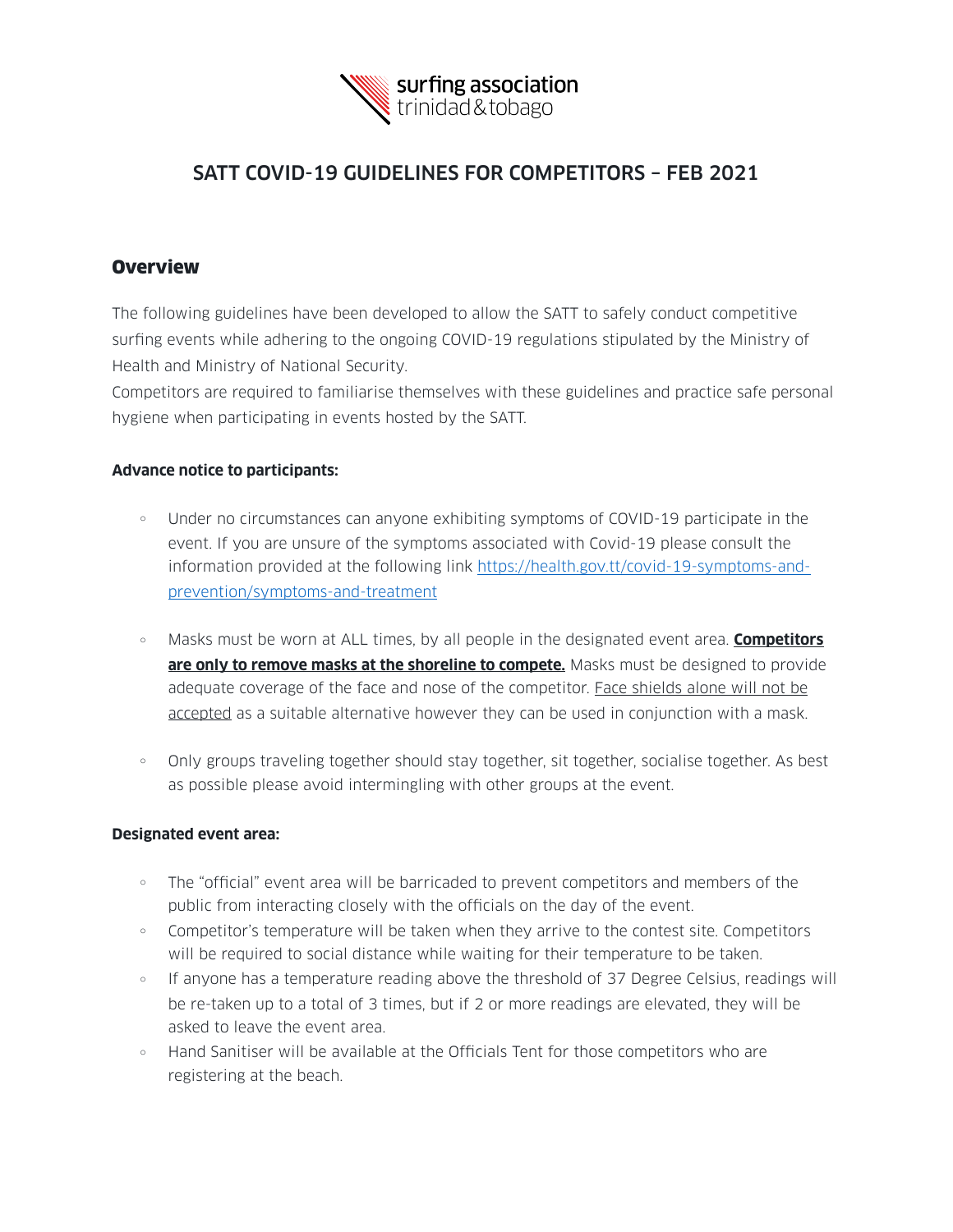

## SATT COVID-19 GUIDELINES FOR COMPETITORS – FEB 2021

## **Overview**

The following guidelines have been developed to allow the SATT to safely conduct competitive surfing events while adhering to the ongoing COVID-19 regulations stipulated by the Ministry of Health and Ministry of National Security.

Competitors are required to familiarise themselves with these guidelines and practice safe personal hygiene when participating in events hosted by the SATT.

## **Advance notice to participants:**

- <sup>o</sup> Under no circumstances can anyone exhibiting symptoms of COVID-19 participate in the event. If you are unsure of the symptoms associated with Covid-19 please consult the information provided at the following link [https://health.gov.tt/covid-19-symptoms-and](https://health.gov.tt/covid-19-symptoms-and-prevention/symptoms-and-treatment)[prevention/symptoms-and-treatment](https://health.gov.tt/covid-19-symptoms-and-prevention/symptoms-and-treatment)
- <sup>o</sup> Masks must be worn at ALL times, by all people in the designated event area. **Competitors are only to remove masks at the shoreline to compete.** Masks must be designed to provide adequate coverage of the face and nose of the competitor. Face shields alone will not be accepted as a suitable alternative however they can be used in conjunction with a mask.
- o Only groups traveling together should stay together, sit together, socialise together. As best as possible please avoid intermingling with other groups at the event.

## **Designated event area:**

- The "official" event area will be barricaded to prevent competitors and members of the public from interacting closely with the officials on the day of the event.
- Competitor's temperature will be taken when they arrive to the contest site. Competitors will be required to social distance while waiting for their temperature to be taken.
- If anyone has a temperature reading above the threshold of 37 Degree Celsius, readings will be re-taken up to a total of 3 times, but if 2 or more readings are elevated, they will be asked to leave the event area.
- <sup>o</sup> Hand Sanitiser will be available at the Officials Tent for those competitors who are registering at the beach.